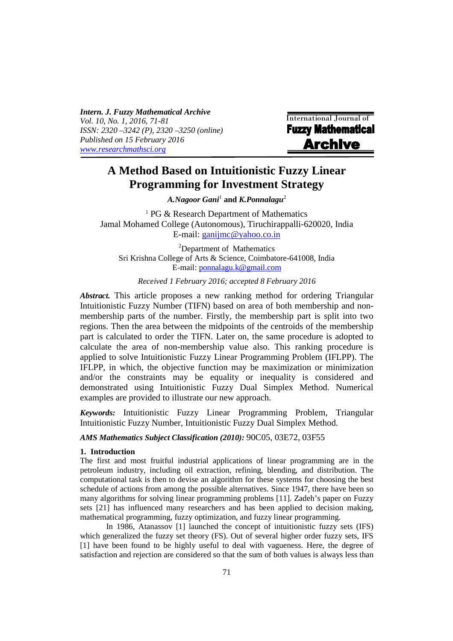*Intern. J. Fuzzy Mathematical Archive Vol. 10, No. 1, 2016, 71-81 ISSN: 2320 –3242 (P), 2320 –3250 (online) Published on 15 February 2016 www.researchmathsci.org*

i

International Journal of **Fuzzy Mathematical Archive** 

# **A Method Based on Intuitionistic Fuzzy Linear Programming for Investment Strategy**

*A.Nagoor Gani*<sup>1</sup>  **and** *K.Ponnalagu*<sup>2</sup>

<sup>1</sup> PG & Research Department of Mathematics Jamal Mohamed College (Autonomous), Tiruchirappalli-620020, India E-mail: ganijmc@yahoo.co.in

<sup>2</sup>Department of Mathematics Sri Krishna College of Arts & Science, Coimbatore-641008, India E-mail: ponnalagu.k@gmail.com

*Received 1 February 2016; accepted 8 February 2016* 

*Abstract.* This article proposes a new ranking method for ordering Triangular Intuitionistic Fuzzy Number (TIFN) based on area of both membership and nonmembership parts of the number. Firstly, the membership part is split into two regions. Then the area between the midpoints of the centroids of the membership part is calculated to order the TIFN. Later on, the same procedure is adopted to calculate the area of non-membership value also. This ranking procedure is applied to solve Intuitionistic Fuzzy Linear Programming Problem (IFLPP). The IFLPP, in which, the objective function may be maximization or minimization and/or the constraints may be equality or inequality is considered and demonstrated using Intuitionistic Fuzzy Dual Simplex Method. Numerical examples are provided to illustrate our new approach.

*Keywords:* Intuitionistic Fuzzy Linear Programming Problem, Triangular Intuitionistic Fuzzy Number, Intuitionistic Fuzzy Dual Simplex Method.

*AMS Mathematics Subject Classification (2010):* 90C05, 03E72, 03F55

#### **1. Introduction**

The first and most fruitful industrial applications of linear programming are in the petroleum industry, including oil extraction, refining, blending, and distribution. The computational task is then to devise an algorithm for these systems for choosing the best schedule of actions from among the possible alternatives. Since 1947, there have been so many algorithms for solving linear programming problems [11]. Zadeh's paper on Fuzzy sets [21] has influenced many researchers and has been applied to decision making, mathematical programming, fuzzy optimization, and fuzzy linear programming.

In 1986, Atanassov [1] launched the concept of intuitionistic fuzzy sets (IFS) which generalized the fuzzy set theory (FS). Out of several higher order fuzzy sets, IFS [1] have been found to be highly useful to deal with vagueness. Here, the degree of satisfaction and rejection are considered so that the sum of both values is always less than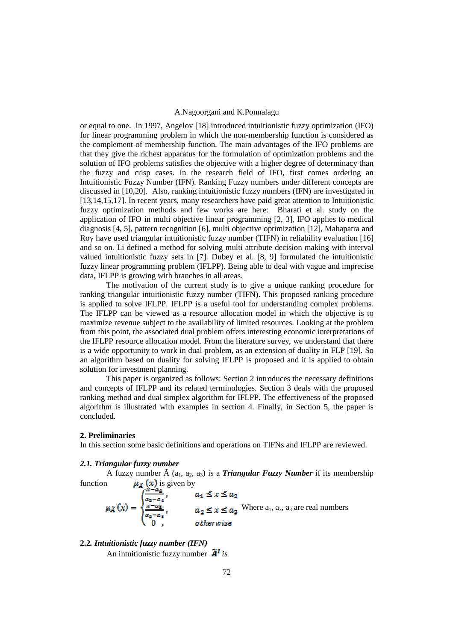or equal to one. In 1997, Angelov [18] introduced intuitionistic fuzzy optimization (IFO) for linear programming problem in which the non-membership function is considered as the complement of membership function. The main advantages of the IFO problems are that they give the richest apparatus for the formulation of optimization problems and the solution of IFO problems satisfies the objective with a higher degree of determinacy than the fuzzy and crisp cases. In the research field of IFO, first comes ordering an Intuitionistic Fuzzy Number (IFN). Ranking Fuzzy numbers under different concepts are discussed in [10,20]. Also, ranking intuitionistic fuzzy numbers (IFN) are investigated in [13,14,15,17]. In recent years, many researchers have paid great attention to Intuitionistic fuzzy optimization methods and few works are here: Bharati et al. study on the application of IFO in multi objective linear programming [2, 3], IFO applies to medical diagnosis [4, 5], pattern recognition [6], multi objective optimization [12], Mahapatra and Roy have used triangular intuitionistic fuzzy number (TIFN) in reliability evaluation [16] and so on. Li defined a method for solving multi attribute decision making with interval valued intuitionistic fuzzy sets in [7]. Dubey et al. [8, 9] formulated the intuitionistic fuzzy linear programming problem (IFLPP). Being able to deal with vague and imprecise data, IFLPP is growing with branches in all areas.

The motivation of the current study is to give a unique ranking procedure for ranking triangular intuitionistic fuzzy number (TIFN). This proposed ranking procedure is applied to solve IFLPP. IFLPP is a useful tool for understanding complex problems. The IFLPP can be viewed as a resource allocation model in which the objective is to maximize revenue subject to the availability of limited resources. Looking at the problem from this point, the associated dual problem offers interesting economic interpretations of the IFLPP resource allocation model. From the literature survey, we understand that there is a wide opportunity to work in dual problem, as an extension of duality in FLP [19]. So an algorithm based on duality for solving IFLPP is proposed and it is applied to obtain solution for investment planning.

This paper is organized as follows: Section 2 introduces the necessary definitions and concepts of IFLPP and its related terminologies. Section 3 deals with the proposed ranking method and dual simplex algorithm for IFLPP. The effectiveness of the proposed algorithm is illustrated with examples in section 4. Finally, in Section 5, the paper is concluded.

#### **2. Preliminaries**

In this section some basic definitions and operations on TIFNs and IFLPP are reviewed.

#### *2.1. Triangular fuzzy number*

A fuzzy number  $\tilde{A}$  (a<sub>1</sub>, a<sub>2</sub>, a<sub>3</sub>) is a *Triangular Fuzzy Number* if its membership function  $\mu_{\mathcal{B}}(x)$  is given by

$$
\mu_{\tilde{A}}(x) = \begin{cases} \frac{x - a_1}{a_2 - a_1}, & a_1 \leq x \leq a_2\\ \frac{x - a_3}{a_2 - a_3}, & a_2 \leq x \leq a_3 \end{cases}
$$
 Where  $a_1, a_2, a_3$  are real numbers  
otherwise

## **2.2***. Intuitionistic fuzzy number (IFN)*

An intuitionistic fuzzy number  $\tilde{A}$ <sup>*i*</sup> is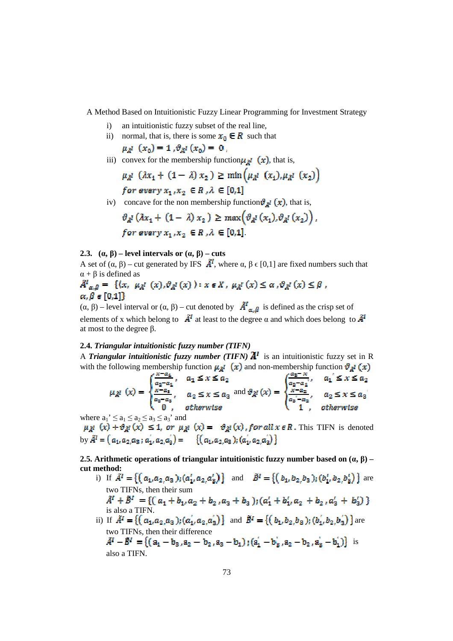- i) an intuitionistic fuzzy subset of the real line,
- ii) normal, that is, there is some  $x_0 \in R$  such that

$$
\mu_{A}^{1}(x_{0})=1, \vartheta_{A}^{1}(x_{0})=0
$$

iii) convex for the membership function  $\mu_{\tilde{A}}$ <sup> $I$ </sup> (**x**), that is,

$$
\mu_{\lambda} \left( \lambda x_1 + (1 - \lambda) x_2 \right) \ge \min \left( \mu_{\lambda} \left( x_1 \right), \mu_{\lambda} \left( x_2 \right) \right)
$$
  
for every  $x_1, x_2 \in \mathbb{R}, \lambda \in [0,1]$ 

iv) concave for the non membership function  $\vartheta_{\vec{A}}$   $(\vec{x})$ , that is,

$$
\vartheta_{\tilde{A}}^1(\lambda x_1 + (1 - \lambda) x_2) \ge \max\left(\vartheta_{\tilde{A}}^1(x_1), \vartheta_{\tilde{A}}^1(x_2)\right),
$$
  
for every  $x_1, x_2 \in R$ ,  $\lambda \in [0,1]$ .

### **2.3.**  $(\alpha, \beta)$  – level intervals or  $(\alpha, \beta)$  – cuts

A set of  $(\alpha, \beta)$  – cut generated by IFS  $\tilde{A}^I$ , where  $\alpha, \beta \in [0,1]$  are fixed numbers such that  $\alpha + \beta$  is defined as

$$
\tilde{A}^{I}{}_{\alpha,\beta} = \{ (x, \mu_{\tilde{A}^{I}}(x), \vartheta_{\tilde{A}^{I}}(x)) : x \in X, \mu_{\tilde{A}^{I}}(x) \leq \alpha, \vartheta_{\tilde{A}^{I}}(x) \leq \beta , \alpha, \beta \in [0,1] \}
$$

 $(\alpha, \beta)$  – level interval or  $(\alpha, \beta)$  – cut denoted by  $\hat{A}^l_{\alpha, \beta}$  is defined as the crisp set of elements of x which belong to  $\tilde{A}^I$  at least to the degree  $\alpha$  and which does belong to  $\tilde{A}^I$ at most to the degree β.

### **2.4.** *Triangular intuitionistic fuzzy number (TIFN)*

A *Triangular intuitionistic fuzzy number (TIFN)*  $\tilde{A}^I$  is an intuitionistic fuzzy set in R with the following membership function  $\mu_{\vec{A}}(x)$  and non-membership function  $\vartheta_{\vec{A}}(x)$ 

$$
\mu_{\tilde{A}^I}(x) = \begin{cases} \frac{x - a_1}{a_2 - a_1}, & a_1 \le x \le a_2 \\ \frac{x - a_3}{a_2 - a_3}, & a_2 \le x \le a_3 \\ 0, & \text{otherwise} \end{cases} \text{ and } \theta_{\tilde{A}^I}(x) = \begin{cases} \frac{a_2 - x}{a_2 - a_1}, & a_1' \le x \le a_2 \\ \frac{x - a_2}{a_2 - a_2}, & a_2 \le x \le a_3 \\ 1, & \text{otherwise} \end{cases}
$$

where  $a_1' \le a_1 \le a_2 \le a_3 \le a_3'$  and

 $\mu_{\lambda}$   $(x) + \theta_{\lambda}$   $(x) \le 1$ , or  $\mu_{\lambda}$   $(x) = \theta_{\lambda}$   $(x)$ , for all  $x \in \mathbb{R}$ . This TIFN is denoted by  $\tilde{A}^I = (a_1, a_2, a_3; a_1, a_2, a_3) = \{ (a_1, a_2, a_3); (a_1, a_2, a_3) \}$ 

**2.5. Arithmetic operations of triangular intuitionistic fuzzy number based on**  $(\alpha, \beta)$  **– cut method:** 

- i) If  $\tilde{A}^I = \{ (a_1, a_2, a_3) ; (a'_1, a_2, a'_3) \}$  and  $\tilde{B}^I = \{ (b_1, b_2, b_3) ; (b'_1, b_2, b'_3) \}$  are two TIFNs, then their sum<br>  $\tilde{A}^I + \tilde{B}^I = \{ (a_1 + b_1, a_2 + b_2, a_3 + b_3) ; (a'_1 + b'_1, a_2 + b_2, a'_3 + b'_3) \}$ is also a TIFN.
- ii) If  $\tilde{A}^I = \{ (a_1, a_2, a_3); (a_1, a_2, a_3) \}$  and  $\tilde{B}^I = \{ (b_1, b_2, b_3); (b_1, b_2, b_3) \}$  are two TIFNs, then their difference  $\tilde{A}^I - \tilde{B}^I = \{ (a_1 - b_3, a_2 - b_2, a_3 - b_1) ; (a_1^{'} - b_3^{'} , a_2 - b_2, a_3^{'} - b_1^{'} ) \}$  is also a TIFN.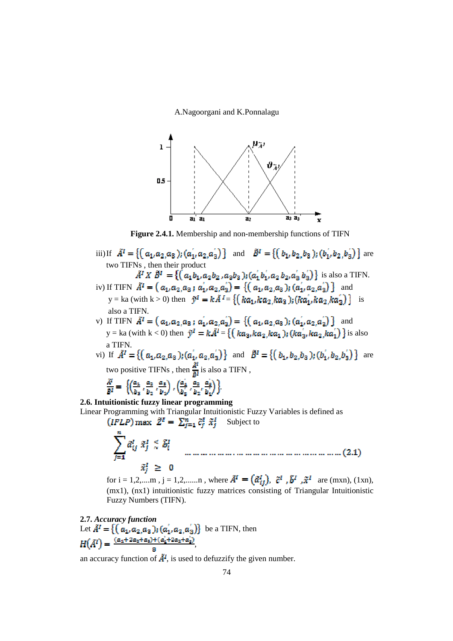

**Figure 2.4.1.** Membership and non-membership functions of TIFN

- iii)If  $\tilde{A}^I = \{ (a_1, a_2, a_3) ; (a_1, a_2, a_3) \}$  and  $\tilde{B}^I = \{ (b_1, b_2, b_3) ; (b_1, b_2, b_3) \}$  are two TIFNs , then their product is also a TIFN.
- iv) If TIFN  $\tilde{A}^1 = (a_1, a_2, a_3; a_1, a_2, a_3) = \{ (a_1, a_2, a_3); (a_1, a_2, a_3) \}$  and y = ka (with k > 0) then  $\tilde{y}^I = k\tilde{A}^I = \{ (ka_1, ka_2, ka_3) ; (ka_1, ka_2, ka_3) \}$  is also a TIFN.
- v) If TIFN  $\tilde{A}^1 = (a_1, a_2, a_3; a_1, a_2, a_3) = \{ (a_1, a_2, a_3); (a_1, a_2, a_3) \}$  and y = ka (with k < 0) then  $\hat{y}^{\prime} = k\hat{A}^{\prime} = \{ (ka_3, ka_2, ka_1) ; (ka_3, ka_2, ka_1) \}$  is also a TIFN.
- vi) If  $\tilde{A}^I = \{ (a_1, a_2, a_3) ; (a_1, a_2, a_3) \}$  and  $\tilde{B}^I = \{ (b_1, b_2, b_3) ; (b_1, b_2, b_3) \}$  are two positive TIFNs, then  $\frac{\tilde{A}^I}{\tilde{B}I}$  is also a TIFN,

$$
\frac{\tilde{A}^l}{\tilde{B}^l} = \left\{ \left( \frac{a_1}{b_1}, \frac{a_2}{b_2}, \frac{a_3}{b_1} \right), \left( \frac{a_1^{'}}{b_1}, \frac{a_2}{b_2}, \frac{a_3^{'}}{b_1^{'} \right) \right\}.
$$

**2.6. Intuitionistic fuzzy linear programming**  Linear Programming with Triangular Intuitionistic Fuzzy Variables is defined as

$$
(IFLP) \max \ \tilde{Z}^I = \sum_{j=1}^n \tilde{c}_j^I \ \tilde{x}_j^I \quad \text{Subject to}
$$
\n
$$
\sum_{j=1}^n \tilde{a}_{ij}^I \ \tilde{x}_j^I \leq \tilde{b}_i^I \quad \text{..........................................}
$$
\n
$$
\tilde{x}_i^I \geq 0
$$
\n(2.1)

for i = 1,2,....m, j = 1,2,.....n, where  $\tilde{A}^I = (\tilde{a}_{ii}^I)$ ,  $\tilde{c}^I$ ,  $\tilde{b}^I$ ,  $\tilde{x}^I$  are (mxn), (1xn), (mx1), (nx1) intuitionistic fuzzy matrices consisting of Triangular Intuitionistic Fuzzy Numbers (TIFN).

2.7. Accuracy function  
Let 
$$
\tilde{A}^I = \{ (a_1, a_2, a_3); (a_1, a_2, a_3) \}
$$
 be a TIFN, then  

$$
H(\tilde{A}^I) = \frac{(a_4 + 2a_2 + a_3) + (a_1 + 2a_2 + a_3)}{8},
$$

an accuracy function of  $\tilde{A}^I$ , is used to defuzzify the given number.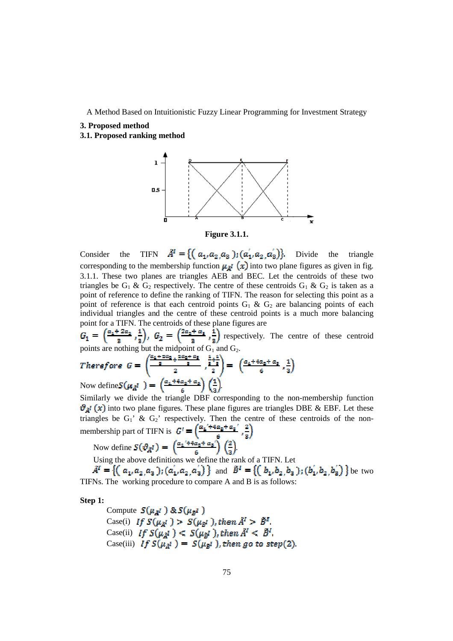#### **3. Proposed method**

**3.1. Proposed ranking method** 





Consider the TIFN  $\tilde{A}^I = \{ (a_1, a_2, a_3) ; (a_1, a_2, a_3) \}$ . Divide the triangle corresponding to the membership function  $\mu_{\mathbb{A}}$  (x) into two plane figures as given in fig. 3.1.1. These two planes are triangles AEB and BEC. Let the centroids of these two triangles be  $G_1 \& G_2$  respectively. The centre of these centroids  $G_1 \& G_2$  is taken as a point of reference to define the ranking of TIFN. The reason for selecting this point as a point of reference is that each centroid points  $G_1 \& G_2$  are balancing points of each individual triangles and the centre of these centroid points is a much more balancing point for a TIFN. The centroids of these plane figures are

respectively. The centre of these centroid points are nothing but the midpoint of  $G_1$  and  $G_2$ .

Therefore 
$$
G = \begin{pmatrix} \frac{a_1 + 2a_2 + 2a_3 + 2a_4 + a_5}{s} & \frac{1+2}{s} \\ 2 & 2 \end{pmatrix} = \begin{pmatrix} \frac{a_1 + 4a_2 + a_5}{s} & \frac{1}{s} \end{pmatrix}
$$
Now define 
$$
S(\mu_A t) = \begin{pmatrix} \frac{a_1 + 4a_2 + a_3}{s} & \frac{1}{s} \end{pmatrix}
$$

Similarly we divide the triangle DBF corresponding to the non-membership function  $\vartheta_{\vec{A}^I}(x)$  into two plane figures. These plane figures are triangles DBE & EBF. Let these triangles be  $G_1$ ' &  $G_2$ ' respectively. Then the centre of these centroids of the nonmembership part of TIFN is  $G' = \left(\frac{a_2' + 4a_2 + a_3'}{c}, \frac{2}{2}\right)$ 

Now define 
$$
S(\vartheta_{\tilde{A}}^I) = \left(\frac{a_1 + a_2 + a_3}{6}\right) \left(\frac{2}{3}\right)
$$
.  
Using the above definitions we define the real

Using the above definitions we define the rank of a TIFN. Let

 $A^I = \{ (a_1, a_2, a_3); (a_1, a_2, a_3) \}$  and  $B^I = \{ (b_1, b_2, b_3); (b_1, b_2, b_3) \}$  be two TIFNs. The working procedure to compare A and B is as follows:

**Step 1:** 

Compute 
$$
S(\mu_{\tilde{A}}^I)
$$
 &  $S(\mu_{\tilde{B}}^I)$   
\nCase(i) If  $S(\mu_{\tilde{A}}^I) > S(\mu_{\tilde{B}}^I)$ , then  $\tilde{A}^I > \tilde{B}^I$ .  
\nCase(ii) If  $S(\mu_{\tilde{A}}^I) < S(\mu_{\tilde{B}}^I)$ , then  $\tilde{A}^I < \tilde{B}^I$ .  
\nCase(iii) If  $S(\mu_{\tilde{A}}^I) = S(\mu_{\tilde{B}}^I)$ , then go to step(2).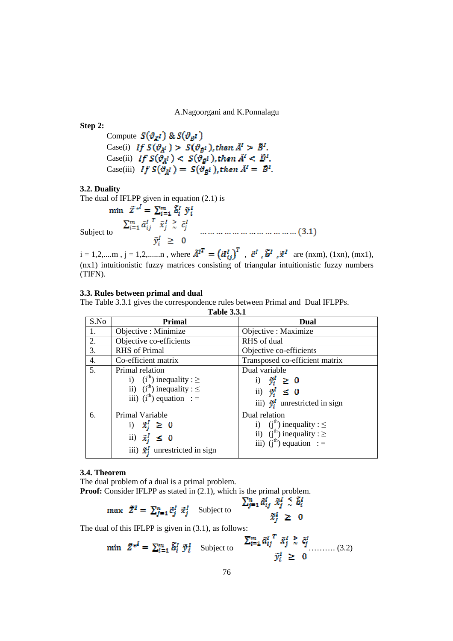**Step 2:**  Compute  $S(\vartheta_{\vec{A}}^I)$  &  $S(\vartheta_{\vec{B}}^I)$ Case(i) If  $S(\vartheta_{A^I}) > S(\vartheta_{B^I})$ , then  $\tilde{A}^I > \tilde{B}^I$ . Case(ii) Case(iii)

#### **3.2. Duality**

The dual of IFLPP given in equation (2.1) is<br>min  $\tilde{Z}^{*I} = \sum_{i=1}^{m} \tilde{b}_i^I \tilde{y}_i^I$ Subject to

 $i = 1, 2, \dots, m$ ,  $j = 1, 2, \dots, n$ , where  $\tilde{A}^{I^T} = (\tilde{\alpha}_{ij}^I)^T$ ,  $\tilde{c}^I$ ,  $\tilde{b}^I$ ,  $\tilde{x}^I$  are (nxm), (1xn), (mx1), (nx1) intuitionistic fuzzy matrices consisting of triangular intuitionistic fuzzy numbers (TIFN).

#### **3.3. Rules between primal and dual**

The Table 3.3.1 gives the correspondence rules between Primal and Dual IFLPPs.

**Table 3.3.1** 

| S.No | Primal                                                            | Dual                                                                           |  |  |
|------|-------------------------------------------------------------------|--------------------------------------------------------------------------------|--|--|
| 1.   | Objective : Minimize                                              | Objective : Maximize                                                           |  |  |
| 2.   | Objective co-efficients                                           | RHS of dual                                                                    |  |  |
| 3.   | <b>RHS</b> of Primal                                              | Objective co-efficients                                                        |  |  |
| 4.   | Co-efficient matrix                                               | Transposed co-efficient matrix                                                 |  |  |
| 5.   | Primal relation                                                   | Dual variable                                                                  |  |  |
|      | i) $(ith)$ inequality : $\geq$<br>ii) $(ith)$ inequality : $\leq$ | i) $\tilde{y}_i^I \geq 0$                                                      |  |  |
|      | iii) $(ith)$ equation : =                                         | ii) $\tilde{y}_i^I \leq 0$<br>iii) $\hat{\mathbf{y}}_i^I$ unrestricted in sign |  |  |
| 6.   | Primal Variable                                                   | Dual relation                                                                  |  |  |
|      | i) $\hat{x}_i^t \geq 0$                                           | i) (j <sup>th</sup> ) inequality : $\leq$                                      |  |  |
|      | ii) $\tilde{x}_i^I \leq 0$                                        | ii) $(jth)$ inequality : $\geq$<br>iii) $(jth)$ equation : =                   |  |  |
|      | iii) $\tilde{x}_i^I$ unrestricted in sign                         |                                                                                |  |  |

#### **3.4. Theorem**

The dual problem of a dual is a primal problem. **Proof:** Consider IFLPP as stated in (2.1), which is the primal problem.<br> $\sum_{j=1}^{n} \tilde{\alpha}_{ij}^I \tilde{x}_j^I \tilde{\tilde{x}}_i^I \tilde{\tilde{x}}_i^I$ 

$$
\max \ \ \tilde{Z}^I = \ \sum_{j=1}^n \tilde{c}_j^I \ \tilde{x}_j^I \quad \text{Subject to} \quad \sum_{j=1}^n \tilde{c}_j^I
$$

The dual of this IFLPP is given in (3.1), as follows:

$$
\text{min} \quad \tilde{Z}^{*^I} = \sum_{i=1}^m \tilde{b}_i^I \; \tilde{\mathbf{y}}_i^I \quad \text{Subject to} \quad \begin{array}{c} \sum_{i=1}^m \tilde{a}_{ij}^I \; \tilde{x}_j^I \geq \; \tilde{c}_j^I \\ \tilde{\mathbf{y}}_i^I \geq \; 0 \end{array} \tag{3.2}
$$

 $\tilde{x}_i^I \geq 0$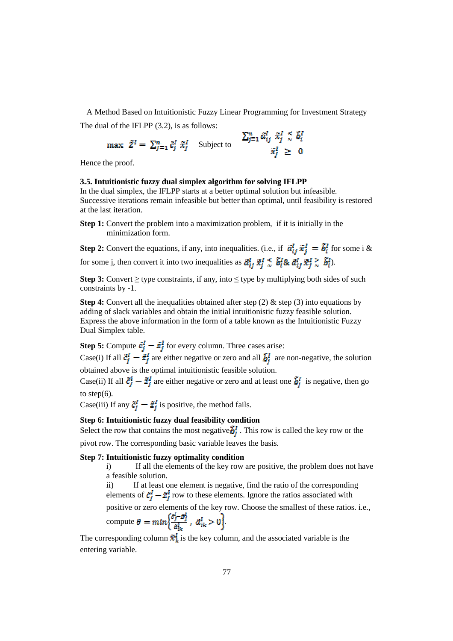A Method Based on Intuitionistic Fuzzy Linear Programming for Investment Strategy The dual of the IFLPP (3.2), is as follows:

n

$$
\max \ \tilde{Z}^I = \sum_{j=1}^n \tilde{c}_j^I \ \tilde{x}_j^I \quad \text{Subject to} \quad \sum_{j=1}^n \tilde{a}_{ij}^I \ \tilde{x}_j^I \leq \tilde{b}_i^I
$$
\n
$$
\tilde{x}_j^I \geq 0
$$

Hence the proof.

#### **3.5. Intuitionistic fuzzy dual simplex algorithm for solving IFLPP**

In the dual simplex, the IFLPP starts at a better optimal solution but infeasible. Successive iterations remain infeasible but better than optimal, until feasibility is restored at the last iteration.

**Step 1:** Convert the problem into a maximization problem, if it is initially in the minimization form.

**Step 2:** Convert the equations, if any, into inequalities. (i.e., if  $\tilde{a}_{ii}^I \tilde{x}_{i}^I = \tilde{b}_{i}^I$  for some i & for some j, then convert it into two inequalities as  $\tilde{a}_{i}^{I}$ ,  $\tilde{x}_{i}^{I} \leq \tilde{b}_{i}^{I}$ &  $\tilde{a}_{i}^{I}$ ,  $\tilde{x}_{i}^{I} \geq \tilde{b}_{i}^{I}$ .

**Step 3:** Convert  $\geq$  type constraints, if any, into  $\leq$  type by multiplying both sides of such constraints by -1.

**Step 4:** Convert all the inequalities obtained after step (2) & step (3) into equations by adding of slack variables and obtain the initial intuitionistic fuzzy feasible solution. Express the above information in the form of a table known as the Intuitionistic Fuzzy Dual Simplex table.

**Step 5:** Compute  $\tilde{\epsilon}_i^l - \tilde{z}_i^l$  for every column. Three cases arise:

Case(i) If all  $\tilde{c}_j^I - \tilde{z}_j^I$  are either negative or zero and all  $\tilde{b}_j^I$  are non-negative, the solution obtained above is the optimal intuitionistic feasible solution.

Case(ii) If all  $\tilde{c}_j^I - \tilde{z}_j^I$  are either negative or zero and at least one  $\tilde{b}_j^I$  is negative, then go to step(6).

Case(iii) If any  $\tilde{\epsilon}_i^I - \tilde{z}_i^I$  is positive, the method fails.

#### **Step 6: Intuitionistic fuzzy dual feasibility condition**

Select the row that contains the most negative  $\vec{B}_j^I$ . This row is called the key row or the pivot row. The corresponding basic variable leaves the basis.

#### **Step 7: Intuitionistic fuzzy optimality condition**

i) If all the elements of the key row are positive, the problem does not have a feasible solution.

ii) If at least one element is negative, find the ratio of the corresponding elements of  $\ddot{\epsilon}^I_j - \ddot{\epsilon}^I_j$  row to these elements. Ignore the ratios associated with

positive or zero elements of the key row. Choose the smallest of these ratios. i.e.,

compute 
$$
\theta = min \left\{ \frac{\partial_j^i - \hat{\mathbf{x}}_j^i}{\partial_i^i} \right\}, \ \hat{\alpha}_{ik}^i > 0 \right\}.
$$

The corresponding column  $\tilde{x}_k^I$  is the key column, and the associated variable is the entering variable.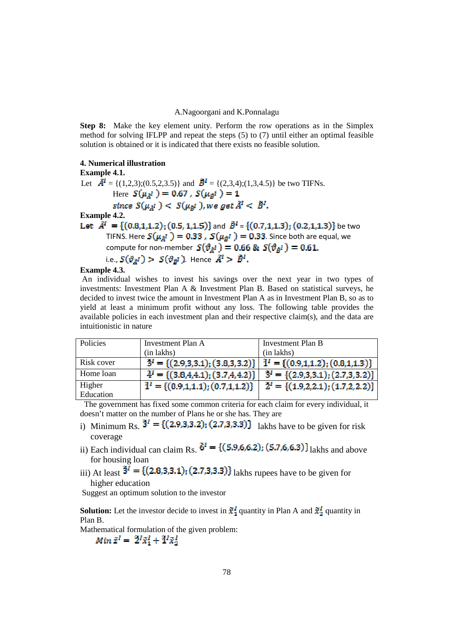**Step 8:** Make the key element unity. Perform the row operations as in the Simplex method for solving IFLPP and repeat the steps (5) to (7) until either an optimal feasible solution is obtained or it is indicated that there exists no feasible solution.

## **4. Numerical illustration**

**Example 4.1.**  Let  $\hat{\mathbf{A}}^I$  = {(1,2,3);(0.5,2,3.5)} and  $\hat{\mathbf{B}}^I$  = {(2,3,4);(1,3,4.5)} be two TIFNs. Here  $S(\mu_{\hat{A}}^I) = 0.67$ ,  $S(\mu_{\hat{B}}^I) = 1$ <br>since  $S(\mu_{\hat{A}}^I) < S(\mu_{\hat{B}}^I)$ , we get  $\hat{A}^I < \hat{B}^I$ . **Example 4.2.**  Let  $\tilde{A}^I = \{(0.8, 1, 1.2), (0.5, 1, 1.5)\}$  and  $\tilde{B}^I = \{(0.7, 1, 1.3), (0.2, 1, 1.3)\}$  be two TIFNS. Here  $S(\mu_{\tilde{A}^I}) = 0.33$ ,  $S(\mu_{\tilde{B}^I}) = 0.33$ . Since both are equal, we compute for non-member  $S(\vartheta_{d}) = 0.66$  &  $S(\vartheta_{d}) = 0.61$ . i.e.,  $S(\vartheta_{\tilde{A}}^I) > S(\vartheta_{\tilde{B}}^I)$ . Hence  $\tilde{A}^I > \tilde{B}^I$ .

#### **Example 4.3.**

 An individual wishes to invest his savings over the next year in two types of investments: Investment Plan A & Investment Plan B. Based on statistical surveys, he decided to invest twice the amount in Investment Plan A as in Investment Plan B, so as to yield at least a minimum profit without any loss. The following table provides the available policies in each investment plan and their respective claim(s), and the data are intuitionistic in nature

| Policies   | Investment Plan A                                                                            | Investment Plan B                              |
|------------|----------------------------------------------------------------------------------------------|------------------------------------------------|
|            | (in lakhs)                                                                                   | (in lakhs)                                     |
| Risk cover | $\tilde{3}^I = \{(2.9,3,3.1); (3.8,3,3.2)\}\mid \tilde{1}^I = \{(0.9,1,1.2); (0.8,1,1.3)\}\$ |                                                |
| Home loan  | $\tilde{4}^{I} = \{(3.8,4.4.1); (3.7,4.4.2)\}\$                                              | $\tilde{3}^{I} = \{(2.9,3,3.1); (2.7,3,3.2)\}$ |
| Higher     | $\tilde{1}^I = \{(0.9, 1, 1.1); (0.7, 1, 1.2)\}\$                                            | $\tilde{2}^{I} = \{(1.9,2,2.1), (1.7,2,2.2)\}$ |
| Education  |                                                                                              |                                                |

 The government has fixed some common criteria for each claim for every individual, it doesn't matter on the number of Plans he or she has. They are

- i) Minimum Rs.  $\tilde{3}^I = \{(2.9,3,3.2); (2.7,3,3.3)\}$  lakhs have to be given for risk coverage
- ii) Each individual can claim Rs.  $\tilde{6}^{I} = \{ (5.9, 6.6.2) ; (5.7, 6.6.3) \}$  lakhs and above for housing loan
- iii) At least  $\tilde{3}^{\tilde{l}} = \{ (2.8,3,3.1); (2.7,3,3.3) \}$  lakhs rupees have to be given for higher education

Suggest an optimum solution to the investor

**Solution:** Let the investor decide to invest in  $\tilde{x}_1^I$  quantity in Plan A and  $\tilde{x}_2^I$  quantity in Plan B.

Mathematical formulation of the given problem:<br> $Min \tilde{z}^I = \tilde{z}^I \tilde{x}_1^I + \tilde{z}^I \tilde{x}_2^I$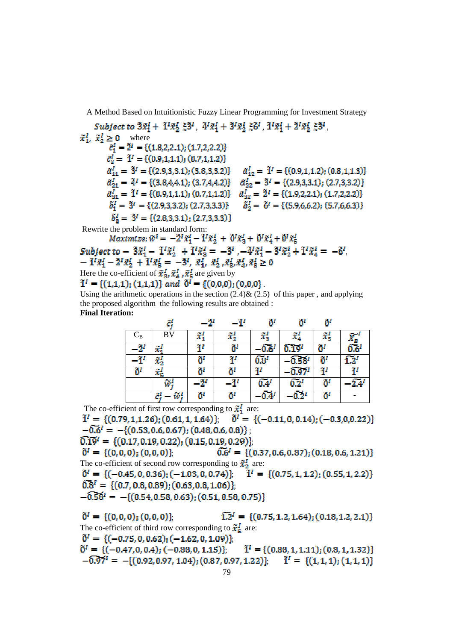Subject to  $3\tilde{x}_1^I + 1^I \tilde{x}_2^I \tilde{z}_2^{3I}$ ,  $4^I \tilde{x}_1^I + 3^I \tilde{x}_2^I \tilde{z}_2^{3I}$ ,  $1^I \tilde{x}_1^I + 2^I \tilde{x}_2^I \tilde{z}_2^{3I}$ ,  $\tilde{x}_1^I$ ,  $\tilde{x}_2^I \ge 0$  where<br>  $\tilde{c}_1^I = \tilde{2}^I = \{(1.8, 2, 2.1); (1.7, 2, 2.2)\}$  $\tilde{c}_2^I = \tilde{1}^I = \{(0.9, 1, 1.1); (0.7, 1, 1.2)\}\$  $\tilde{b}_3^I = \tilde{3}^I = \{(2.8,3,3.1), (2.7,3,3.3)\}\$ 

Rewrite the problem in standard form:<br>  $Maximize: \widetilde{w}^I = -\widetilde{Z}^I \widetilde{x}_1^I - \widetilde{I}^I \widetilde{x}_2^I + \widetilde{0}^I \widetilde{x}_3^I + \widetilde{0}^I \widetilde{x}_4^I + \widetilde{0}^I \widetilde{x}_5^I$ 

Subject to  $-3\tilde{x}_1^1 - 1^i \tilde{x}_2^1 + 1^i \tilde{x}_3^1 = -3^i$ ,  $-4^i \tilde{x}_1^1 - 3^i \tilde{x}_2^1 + 1^i \tilde{x}_4^1 = -6^i$ ,<br> $-1^i \tilde{x}_1^1 - 2^i \tilde{x}_2^1 + 1^i \tilde{x}_2^1 = -3^i$ ,  $\tilde{x}_1^1 \tilde{x}_2^1 \tilde{x}_3^1 \tilde{x}_4^1 = 0$ 

$$
-1^{2}x_{1}^{2}-2^{2}x_{2}^{2}+1^{2}x_{5}^{2}=-3^{2}, x_{1}^{2}, x_{2}^{2}, x_{3}^{2}, x_{4}^{2}, x_{5}^{2}\geq 0
$$

Here the co-efficient of 
$$
x_3
$$
,  $x_4$ ,  $x_5$  are given by  
 $3I = (f \cdot 4 \cdot 4 \cdot 1)$ ,  $f \cdot 4 \cdot 4 \cdot 1$ ,  $f \cdot 3I = f(\cdot 0, 0, 0)$ ,  $f(0, 0, 0)$ 

$$
1' = \{(1,1,1); (1,1,1)\} \ and \ 0' = \{(0,0,0); (0,0,0)\}
$$

Using the arithmetic operations in the section  $(2.4)$ &  $(2.5)$  of this paper, and applying the proposed algorithm the following results are obtained : **Final Iteration:** 

|                           | ë.                    | -21             | -37                          | ö                   | ö                 | ö                    |                  |
|---------------------------|-----------------------|-----------------|------------------------------|---------------------|-------------------|----------------------|------------------|
| $\mathrm{C}_{\mathrm{B}}$ | BV                    | $\tilde{x}_1^l$ | $\tilde{x}_2^I$              | $\tilde{x}_3^I$     | $\tilde{x}_4^I$   | $\vec{x}_\text{S}^I$ | $A_{H}$          |
| $-2^{\prime}$             | ž,                    | 47              | $\ddot{\mathbf{0}}^{\prime}$ | $-0.6^{1}$          | $\overline{0.19}$ | Ö                    | $\overline{0.6}$ |
| $-\mathbf{\tilde{1}}^{I}$ | $\tilde{x}_2'$        | ö               | ï                            | 65 <sup>t</sup>     | $-0.58'$          | Ö                    | $\overline{12}$  |
| $\ddot{\mathbf{0}}^I$     | $\tilde{x}^I_{\rm h}$ | ö               | ö                            | Ψ                   | $-0.97t$          | 37                   | 71               |
|                           | $\widetilde{w}'$      | $-2^{\prime}$   | -74                          | $\widetilde{0.4}^I$ | $\overline{0.2}$  | Õ۱                   | $-2.4^{I}$       |
|                           | ë.<br>w:              | ö               | Ö                            |                     | 0.2'              | ö                    |                  |

The co-efficient of first row corresponding to  $\tilde{x}_1^I$  are:

 $\tilde{1}^l = \{ (0.79, 1.1.26) ; (0.61, 1.1.64) \}; \quad \tilde{0}^l = \{ (-0.11, 0, 0.14) ; (-0.3, 0.0.22) \}$  $-0.6^{i} = -\{(0.53, 0.6, 0.67); (0.48, 0.6, 0.8)\};$ 

 $\widehat{0.19}$ <sup>t</sup> = {(0.17,0.19,0.22); (0.15,0.19,0.29)};

 $\tilde{0}^{I} = \{(0,0,0); (0,0,0)\};$  $\widetilde{0.6}$ <sup>l</sup> = {(0.37, 0.6, 0.87); (0.18, 0.6, 1.21)} The co-efficient of second row corresponding to  $\tilde{x}_2^l$  are:<br>  $\tilde{0}^l = \{(-0.45, 0, 0.36); (-1.03, 0, 0.74)\}; \quad \tilde{1}^l = \{(0.75, 1, 1.2); (0.55, 1, 2.2)\}$ 

 $\tilde{0}^l = \{(-0.45, 0, 0.36); (-1.03, 0, 0.74)\};$  $\widetilde{0.8}^I = \{(0.7, 0.8, 0.89); (0.63, 0.8, 1.06)\};$ 

$$
-0.561 = -\{(0.54, 0.58, 0.63); (0.51, 0.58, 0.75)\}
$$

 $\widetilde{1,2}^1 = \{(0.75, 1.2, 1.64); (0.18, 1.2, 2.1)\}\$  $\tilde{0}^{I} = \{(0,0,0);\,(0,0,0)\}.$ The co-efficient of third row corresponding to  $\tilde{\mathbf{x}}_5^T$  are:  $\tilde{0}^1 = \{(-0.75, 0, 0.62); (-1.62, 0, 1.09)\}.$  $\tilde{0}^{I} = \{(-0.47, 0, 0.4); (-0.88, 0, 1.15)\};$   $\tilde{1}^{I} = \{(0.88, 1, 1.11); (0.8, 1, 1.32)\}$  $-\widehat{0.97}$ <sup>1</sup> =  $-$ {(0.92, 0.97, 1.04); (0.87, 0.97, 1.22)};  $\widetilde{1}$ <sup>1</sup> = {(1, 1, 1); (1, 1, 1)}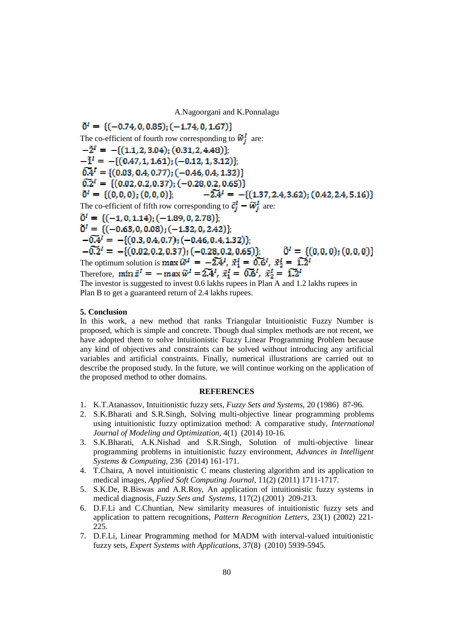$\tilde{0}^i = \{(-0.74, 0, 0.85); (-1.74, 0, 1.67)\}\$ The co-efficient of fourth row corresponding to  $\widetilde{w}_i^I$  are:  $-2^I = -\{(1.1, 2, 3.04); (0.31, 2, 4.48)\};$  $-1^1 = -\{(0.47, 1, 1.61); (-0.12, 1, 3.12)\};$  $\widetilde{0.4}^{I} = \{(0.03, 0.4, 0.77); (-0.46, 0.4, 1.32)\}\$ <br> $\widetilde{0.2}^{I} = \{(0.02, 0.2, 0.37); (-0.28, 0.2, 0.65)\}\$  $\tilde{0}^I = \{ (0,0,0); (0,0,0) \};$   $-2\tilde{A}^I = -\{ (1.37,2.4,3.62); (0.42,2.4,5.16) \}$ The co-efficient of fifth row corresponding to  $\tilde{c}_j^I - \tilde{w}_j^I$  are:  $\tilde{0}^{I} = \{(-1, 0, 1.14); (-1.89, 0, 2.78)\};$  $\tilde{0}^{I} = \{(-0.63, 0, 0.08), (-1.32, 0, 2.42)\},\$  $-6.4i = -\{(0.3, 0.4, 0.7); (-0.46, 0.4, 1.32)\};$  $-\overline{0.2}$ <sup>1</sup> =  $-$ {(0.02, 0.2, 0.37); (-0.28, 0.2, 0.65)};  $\tilde{0}^i = \{(0,0,0); (0,0,0)\}$ The optimum solution is  $\max \widetilde{w}^I = -2\widetilde{A}^I$ ,  $\widetilde{x}_1^I = 0.6^I$ ,  $\widetilde{x}_2^I = 1.2^I$ Therefore,  $\min \tilde{z}^I = -\max \tilde{w}^I = \tilde{z} \tilde{z}^I$ ,  $\tilde{x}^I_1 = \tilde{0} \tilde{z}^I$ ,  $\tilde{x}^I_2 = \tilde{1} \tilde{z}^I$ 

The investor is suggested to invest 0.6 lakhs rupees in Plan A and 1.2 lakhs rupees in Plan B to get a guaranteed return of 2.4 lakhs rupees.

#### **5. Conclusion**

In this work, a new method that ranks Triangular Intuitionistic Fuzzy Number is proposed, which is simple and concrete. Though dual simplex methods are not recent, we have adopted them to solve Intuitionistic Fuzzy Linear Programming Problem because any kind of objectives and constraints can be solved without introducing any artificial variables and artificial constraints. Finally, numerical illustrations are carried out to describe the proposed study. In the future, we will continue working on the application of the proposed method to other domains.

#### **REFERENCES**

- 1. K.T.Atanassov, Intuitionistic fuzzy sets, *Fuzzy Sets and Systems*, 20 (1986) 87-96.
- 2. S.K.Bharati and S.R.Singh, Solving multi-objective linear programming problems using intuitionistic fuzzy optimization method: A comparative study, *International Journal of Modeling and Optimization*, 4(1) (2014) 10-16.
- 3. S.K.Bharati, A.K.Nishad and S.R.Singh, Solution of multi-objective linear programming problems in intuitionistic fuzzy environment, *Advances in Intelligent Systems & Computing*, 236 (2014) 161-171.
- 4. T.Chaira, A novel intuitionistic C means clustering algorithm and its application to medical images, *Applied Soft Computing Journal*, 11(2) (2011) 1711-1717.
- 5. S.K.De, R.Biswas and A.R.Roy, An application of intuitionistic fuzzy systems in medical diagnosis, *Fuzzy Sets and Systems*, 117(2) (2001) 209-213.
- 6. D.F.Li and C.Chuntian, New similarity measures of intuitionistic fuzzy sets and application to pattern recognitions, *Pattern Recognition Letters*, 23(1) (2002) 221- 225.
- 7. D.F.Li, Linear Programming method for MADM with interval-valued intuitionistic fuzzy sets, *Expert Systems with Applications*, 37(8) (2010) 5939-5945.